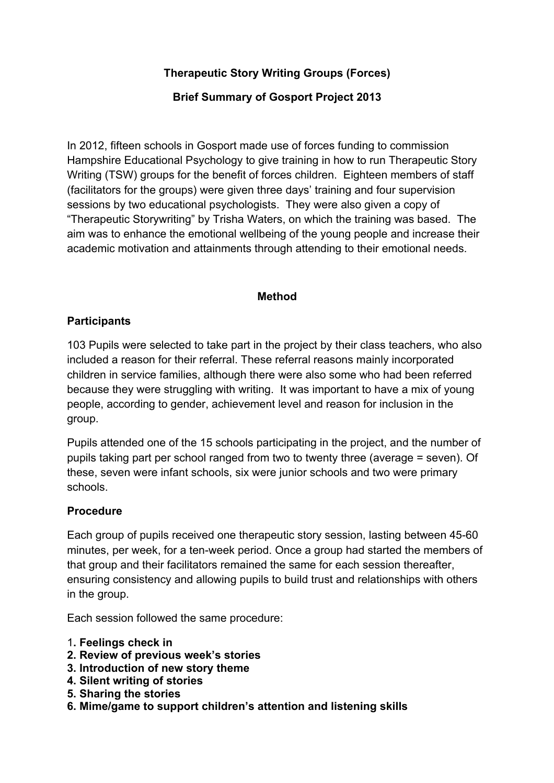# **Therapeutic Story Writing Groups (Forces)**

### **Brief Summary of Gosport Project 2013**

In 2012, fifteen schools in Gosport made use of forces funding to commission Hampshire Educational Psychology to give training in how to run Therapeutic Story Writing (TSW) groups for the benefit of forces children. Eighteen members of staff (facilitators for the groups) were given three days' training and four supervision sessions by two educational psychologists. They were also given a copy of "Therapeutic Storywriting" by Trisha Waters, on which the training was based. The aim was to enhance the emotional wellbeing of the young people and increase their academic motivation and attainments through attending to their emotional needs.

#### **Method**

### **Participants**

103 Pupils were selected to take part in the project by their class teachers, who also included a reason for their referral. These referral reasons mainly incorporated children in service families, although there were also some who had been referred because they were struggling with writing. It was important to have a mix of young people, according to gender, achievement level and reason for inclusion in the group.

Pupils attended one of the 15 schools participating in the project, and the number of pupils taking part per school ranged from two to twenty three (average = seven). Of these, seven were infant schools, six were junior schools and two were primary schools.

#### **Procedure**

Each group of pupils received one therapeutic story session, lasting between 45-60 minutes, per week, for a ten-week period. Once a group had started the members of that group and their facilitators remained the same for each session thereafter, ensuring consistency and allowing pupils to build trust and relationships with others in the group.

Each session followed the same procedure:

- 1**. Feelings check in**
- **2. Review of previous week's stories**
- **3. Introduction of new story theme**
- **4. Silent writing of stories**
- **5. Sharing the stories**
- **6. Mime/game to support children's attention and listening skills**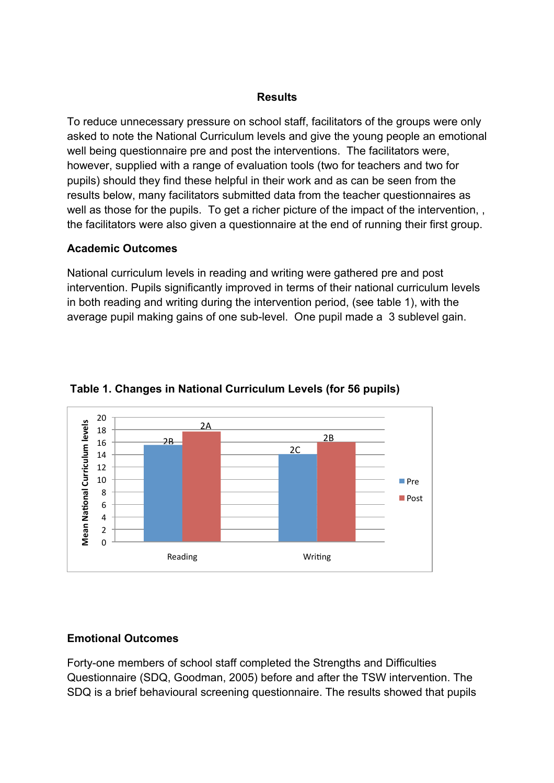#### **Results**

To reduce unnecessary pressure on school staff, facilitators of the groups were only asked to note the National Curriculum levels and give the young people an emotional well being questionnaire pre and post the interventions. The facilitators were, however, supplied with a range of evaluation tools (two for teachers and two for pupils) should they find these helpful in their work and as can be seen from the results below, many facilitators submitted data from the teacher questionnaires as well as those for the pupils. To get a richer picture of the impact of the intervention, , the facilitators were also given a questionnaire at the end of running their first group.

# **Academic Outcomes**

National curriculum levels in reading and writing were gathered pre and post intervention. Pupils significantly improved in terms of their national curriculum levels in both reading and writing during the intervention period, (see table 1), with the average pupil making gains of one sub-level. One pupil made a 3 sublevel gain.



### **Table 1. Changes in National Curriculum Levels (for 56 pupils)**

# **Emotional Outcomes**

Forty-one members of school staff completed the Strengths and Difficulties Questionnaire (SDQ, Goodman, 2005) before and after the TSW intervention. The SDQ is a brief behavioural screening questionnaire. The results showed that pupils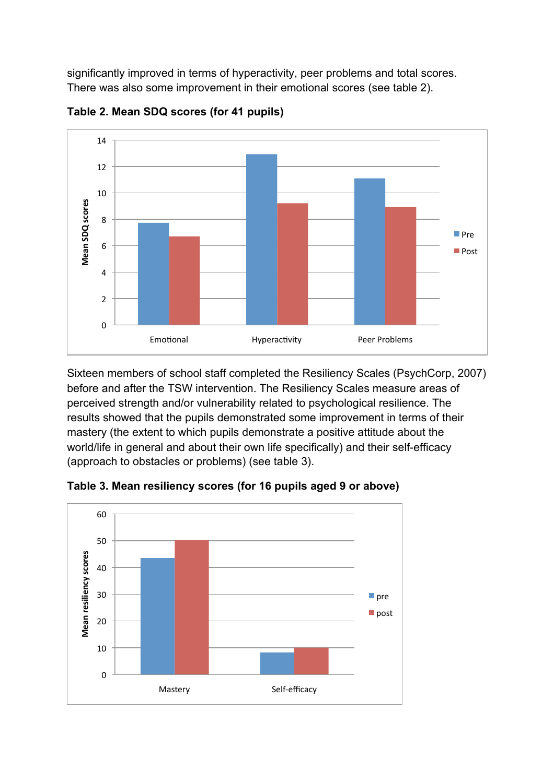significantly improved in terms of hyperactivity, peer problems and total scores. There was also some improvement in their emotional scores (see table 2).



**Table 2. Mean SDQ scores (for 41 pupils)**

Sixteen members of school staff completed the Resiliency Scales (PsychCorp, 2007) before and after the TSW intervention. The Resiliency Scales measure areas of perceived strength and/or vulnerability related to psychological resilience. The results showed that the pupils demonstrated some improvement in terms of their mastery (the extent to which pupils demonstrate a positive attitude about the world/life in general and about their own life specifically) and their self-efficacy (approach to obstacles or problems) (see table 3).



**Table 3. Mean resiliency scores (for 16 pupils aged 9 or above)**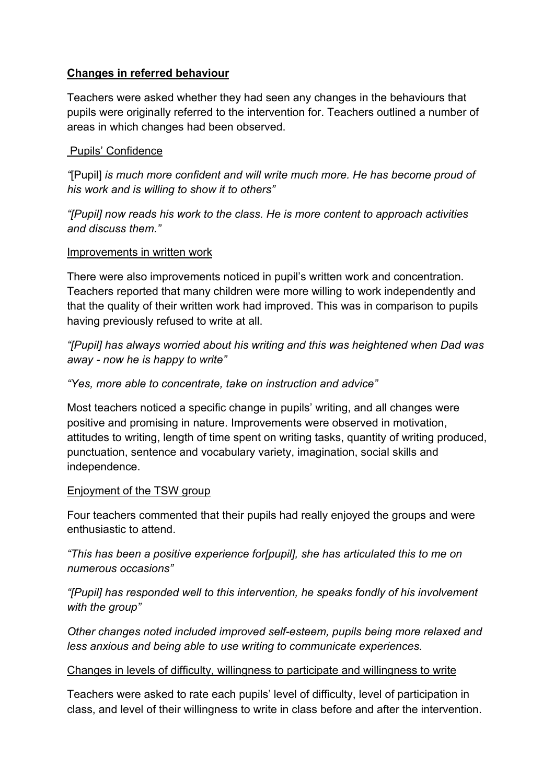# **Changes in referred behaviour**

Teachers were asked whether they had seen any changes in the behaviours that pupils were originally referred to the intervention for. Teachers outlined a number of areas in which changes had been observed.

# Pupils' Confidence

*"*[Pupil] *is much more confident and will write much more. He has become proud of his work and is willing to show it to others"*

*"[Pupil] now reads his work to the class. He is more content to approach activities and discuss them."*

# Improvements in written work

There were also improvements noticed in pupil's written work and concentration. Teachers reported that many children were more willing to work independently and that the quality of their written work had improved. This was in comparison to pupils having previously refused to write at all.

*"[Pupil] has always worried about his writing and this was heightened when Dad was away - now he is happy to write"*

# *"Yes, more able to concentrate, take on instruction and advice"*

Most teachers noticed a specific change in pupils' writing, and all changes were positive and promising in nature. Improvements were observed in motivation, attitudes to writing, length of time spent on writing tasks, quantity of writing produced, punctuation, sentence and vocabulary variety, imagination, social skills and independence.

# Enjoyment of the TSW group

Four teachers commented that their pupils had really enjoyed the groups and were enthusiastic to attend.

*"This has been a positive experience for[pupil], she has articulated this to me on numerous occasions"*

*"[Pupil] has responded well to this intervention, he speaks fondly of his involvement with the group"*

*Other changes noted included improved self-esteem, pupils being more relaxed and less anxious and being able to use writing to communicate experiences.* 

# Changes in levels of difficulty, willingness to participate and willingness to write

Teachers were asked to rate each pupils' level of difficulty, level of participation in class, and level of their willingness to write in class before and after the intervention.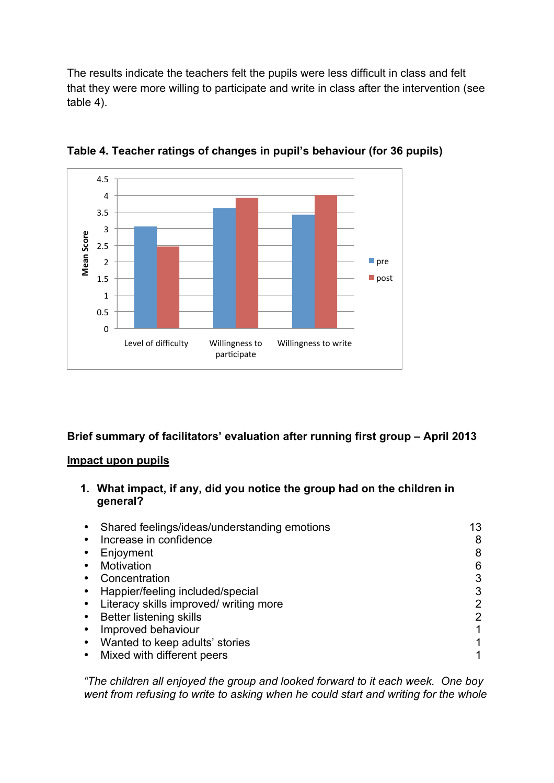The results indicate the teachers felt the pupils were less difficult in class and felt that they were more willing to participate and write in class after the intervention (see table 4).



**Table 4. Teacher ratings of changes in pupil's behaviour (for 36 pupils)**

# **Brief summary of facilitators' evaluation after running first group – April 2013**

#### **Impact upon pupils**

**1. What impact, if any, did you notice the group had on the children in general?** 

| Shared feelings/ideas/understanding emotions | 13 |
|----------------------------------------------|----|
| Increase in confidence                       | 8  |
| Enjoyment                                    | 8  |
| Motivation                                   | 6  |
| Concentration                                | 3  |
| Happier/feeling included/special             | 3  |
| Literacy skills improved/ writing more       | 2  |
| <b>Better listening skills</b>               | 2  |
| Improved behaviour                           |    |
| Wanted to keep adults' stories               | 1  |
| Mixed with different peers                   |    |

*"The children all enjoyed the group and looked forward to it each week. One boy went from refusing to write to asking when he could start and writing for the whole*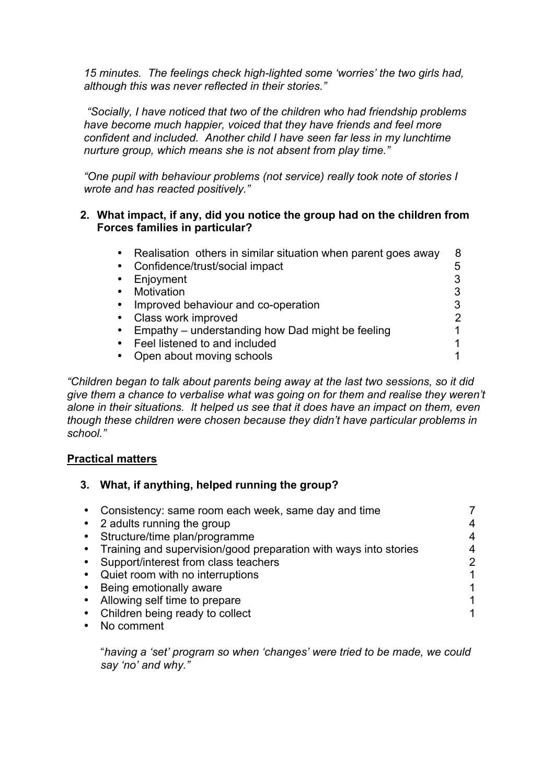*15 minutes. The feelings check high-lighted some 'worries' the two girls had, although this was never reflected in their stories."*

 *"Socially, I have noticed that two of the children who had friendship problems have become much happier, voiced that they have friends and feel more confident and included. Another child I have seen far less in my lunchtime nurture group, which means she is not absent from play time."*

*"One pupil with behaviour problems (not service) really took note of stories I wrote and has reacted positively."*

#### **2. What impact, if any, did you notice the group had on the children from Forces families in particular?**

| $\bullet$ | Realisation others in similar situation when parent goes away | 8 |
|-----------|---------------------------------------------------------------|---|
|           | Confidence/trust/social impact                                | 5 |
|           | Enjoyment                                                     |   |
|           | Motivation                                                    |   |
| $\bullet$ | Improved behaviour and co-operation                           |   |
| $\bullet$ | Class work improved                                           |   |
|           | • Empathy – understanding how Dad might be feeling            |   |
| $\bullet$ | Feel listened to and included                                 |   |
| $\bullet$ | Open about moving schools                                     |   |

*"Children began to talk about parents being away at the last two sessions, so it did give them a chance to verbalise what was going on for them and realise they weren't alone in their situations. It helped us see that it does have an impact on them, even though these children were chosen because they didn't have particular problems in school."*

# **Practical matters**

# **3. What, if anything, helped running the group?**

| $\bullet$ | Consistency: same room each week, same day and time                |                |
|-----------|--------------------------------------------------------------------|----------------|
|           | • 2 adults running the group                                       |                |
|           | Structure/time plan/programme                                      |                |
|           | • Training and supervision/good preparation with ways into stories |                |
|           | Support/interest from class teachers                               | $\overline{2}$ |
|           | Quiet room with no interruptions                                   |                |
|           | Being emotionally aware                                            |                |
|           | Allowing self time to prepare                                      |                |
|           | Children being ready to collect                                    |                |
|           | No comment                                                         |                |

"*having a 'set' program so when 'changes' were tried to be made, we could say 'no' and why."*